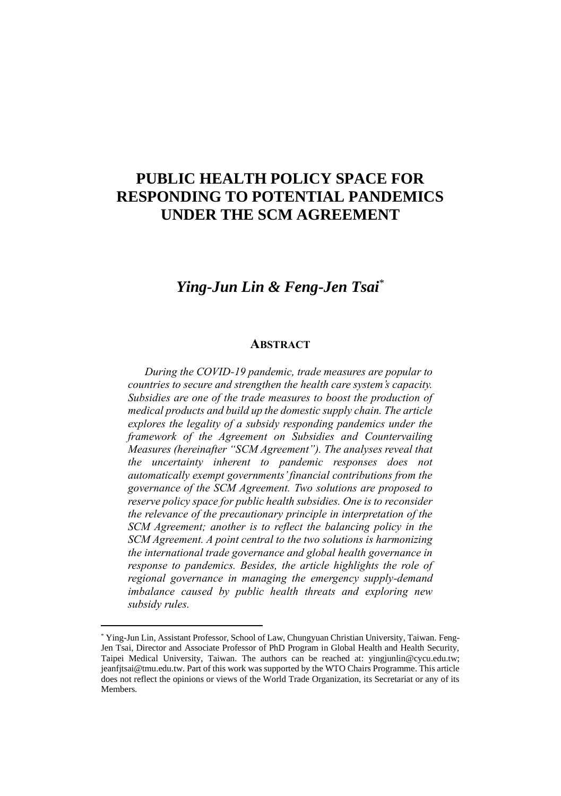## **PUBLIC HEALTH POLICY SPACE FOR RESPONDING TO POTENTIAL PANDEMICS UNDER THE SCM AGREEMENT**

## *Ying-Jun Lin & Feng-Jen Tsai*\*

## **ABSTRACT**

*During the COVID-19 pandemic, trade measures are popular to countries to secure and strengthen the health care system's capacity. Subsidies are one of the trade measures to boost the production of medical products and build up the domestic supply chain. The article explores the legality of a subsidy responding pandemics under the framework of the Agreement on Subsidies and Countervailing Measures (hereinafter "SCM Agreement"). The analyses reveal that the uncertainty inherent to pandemic responses does not automatically exempt governments' financial contributions from the governance of the SCM Agreement. Two solutions are proposed to reserve policy space for public health subsidies. One is to reconsider the relevance of the precautionary principle in interpretation of the SCM Agreement; another is to reflect the balancing policy in the SCM Agreement. A point central to the two solutions is harmonizing the international trade governance and global health governance in response to pandemics. Besides, the article highlights the role of regional governance in managing the emergency supply-demand imbalance caused by public health threats and exploring new subsidy rules.*

<sup>\*</sup> Ying-Jun Lin, Assistant Professor, School of Law, Chungyuan Christian University, Taiwan. Feng-Jen Tsai, Director and Associate Professor of PhD Program in Global Health and Health Security, Taipei Medical University, Taiwan. The authors can be reached at: yingjunlin@cycu.edu.tw; jeanfjtsai@tmu.edu.tw. Part of this work was supported by the WTO Chairs Programme. This article does not reflect the opinions or views of the World Trade Organization, its Secretariat or any of its Members.